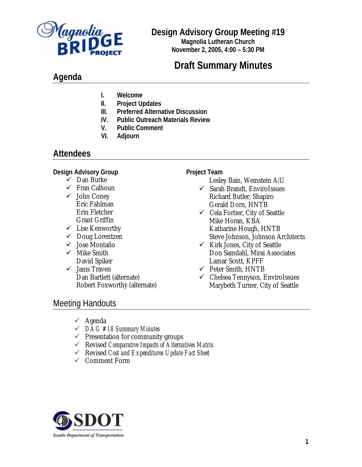

## **Design Advisory Group Meeting #19**

**Magnolia Lutheran Church November 2, 2005, 4:00 – 5:30 PM**

# **Draft Summary Minutes**

## **Agenda**

- **I. Welcome**
- **II. Project Updates**
- **III. Preferred Alternative Discussion**
- **IV. Public Outreach Materials Review**
- **V. Public Comment**
- **VI. Adjourn**

### **Attendees**

#### **Design Advisory Group**

- $\checkmark$  Dan Burke
- $\checkmark$  Fran Calhoun
- $\checkmark$  John Coney Eric Fahlman Erin Fletcher Grant Griffin
- $\checkmark$  Lise Kenworthy
- $\checkmark$  Doug Lorentzen
- $\checkmark$  Jose Montaño
- $\checkmark$  Mike Smith David Spiker
- $\checkmark$  Janis Traven Dan Bartlett (alternate) Robert Foxworthy (alternate)

### **Project Team**

- Lesley Bain, Weinstein A|U
- $\checkmark$  Sarah Brandt, EnviroIssues Richard Butler, Shapiro Gerald Dorn, HNTB
- $\checkmark$  Cela Fortier, City of Seattle Mike Horan, KBA Katharine Hough, HNTB Steve Johnson, Johnson Architects
- $\checkmark$  Kirk Jones, City of Seattle Don Samdahl, Mirai Associates Lamar Scott, KPFF
- $\checkmark$  Peter Smith, HNTB
- $\checkmark$  Chelsea Tennyson, EnviroIssues Marybeth Turner, City of Seattle

# Meeting Handouts

- $\checkmark$  Agenda
- 3 *DAG #18 Summary Minutes*
- $\checkmark$  Presentation for community groups
- 3 Revised *Comparative Impacts of Alternatives Matrix*
- 3 Revised *Cost and Expenditures Update Fact Sheet*
- $\checkmark$  Comment Form

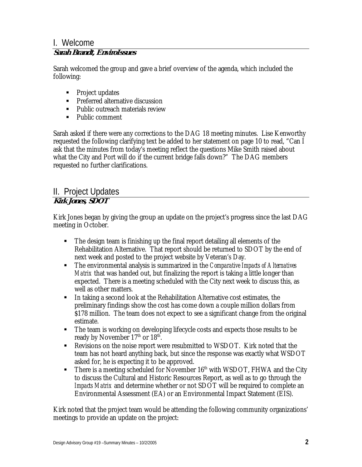# I. Welcome

### **Sarah Brandt, EnviroIssues**

Sarah welcomed the group and gave a brief overview of the agenda, which included the following:

- Project updates
- **Preferred alternative discussion**
- **Public outreach materials review**
- Public comment

Sarah asked if there were any corrections to the DAG 18 meeting minutes. Lise Kenworthy requested the following clarifying text be added to her statement on page 10 to read, "Can I ask that the minutes from today's meeting reflect the questions Mike Smith raised about what the City and Port will do if the current bridge falls down?" The DAG members requested no further clarifications.

#### II. Project Updates **Kirk Jones, SDOT**

Kirk Jones began by giving the group an update on the project's progress since the last DAG meeting in October.

- The design team is finishing up the final report detailing all elements of the Rehabilitation Alternative. That report should be returned to SDOT by the end of next week and posted to the project website by Veteran's Day.
- The environmental analysis is summarized in the *Comparative Impacts of Alternatives Matrix* that was handed out, but finalizing the report is taking a little longer than expected. There is a meeting scheduled with the City next week to discuss this, as well as other matters.
- In taking a second look at the Rehabilitation Alternative cost estimates, the preliminary findings show the cost has come down a couple million dollars from \$178 million. The team does not expect to see a significant change from the original estimate.
- The team is working on developing lifecycle costs and expects those results to be ready by November 17<sup>th</sup> or 18<sup>th</sup>.
- Revisions on the noise report were resubmitted to WSDOT. Kirk noted that the team has not heard anything back, but since the response was exactly what WSDOT asked for, he is expecting it to be approved.
- There is a meeting scheduled for November  $16<sup>th</sup>$  with WSDOT, FHWA and the City to discuss the Cultural and Historic Resources Report, as well as to go through the *Impacts Matrix* and determine whether or not SDOT will be required to complete an Environmental Assessment (EA) or an Environmental Impact Statement (EIS).

Kirk noted that the project team would be attending the following community organizations' meetings to provide an update on the project: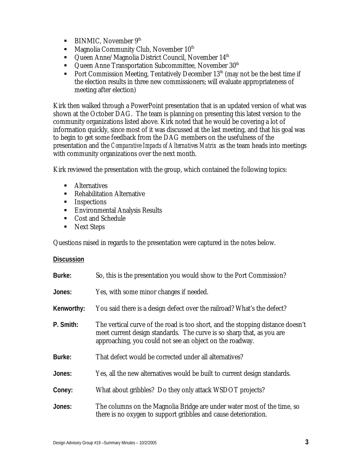- $\blacksquare$  BINMIC, November 9<sup>th</sup>
- $\blacksquare$  Magnolia Community Club, November  $10^{th}$
- $\blacksquare$  Queen Anne/Magnolia District Council, November 14<sup>th</sup>
- Queen Anne Transportation Subcommittee, November 30<sup>th</sup>
- Port Commission Meeting, Tentatively December  $13<sup>th</sup>$  (may not be the best time if the election results in three new commissioners; will evaluate appropriateness of meeting after election)

Kirk then walked through a PowerPoint presentation that is an updated version of what was shown at the October DAG. The team is planning on presenting this latest version to the community organizations listed above. Kirk noted that he would be covering a lot of information quickly, since most of it was discussed at the last meeting, and that his goal was to begin to get some feedback from the DAG members on the usefulness of the presentation and the *Comparative Impacts of Alternatives Matrix* as the team heads into meetings with community organizations over the next month.

Kirk reviewed the presentation with the group, which contained the following topics:

- **Alternatives**
- **Rehabilitation Alternative**
- **Inspections**
- **Environmental Analysis Results**
- Cost and Schedule
- Next Steps

Questions raised in regards to the presentation were captured in the notes below.

#### **Discussion**

| Burke:     | So, this is the presentation you would show to the Port Commission?                                                                                                                                                 |
|------------|---------------------------------------------------------------------------------------------------------------------------------------------------------------------------------------------------------------------|
| Jones:     | Yes, with some minor changes if needed.                                                                                                                                                                             |
| Kenworthy: | You said there is a design defect over the railroad? What's the defect?                                                                                                                                             |
| P. Smith:  | The vertical curve of the road is too short, and the stopping distance doesn't<br>meet current design standards. The curve is so sharp that, as you are<br>approaching, you could not see an object on the roadway. |
| Burke:     | That defect would be corrected under all alternatives?                                                                                                                                                              |
| Jones:     | Yes, all the new alternatives would be built to current design standards.                                                                                                                                           |
| Coney:     | What about gribbles? Do they only attack WSDOT projects?                                                                                                                                                            |
| Jones:     | The columns on the Magnolia Bridge are under water most of the time, so<br>there is no oxygen to support gribbles and cause deterioration.                                                                          |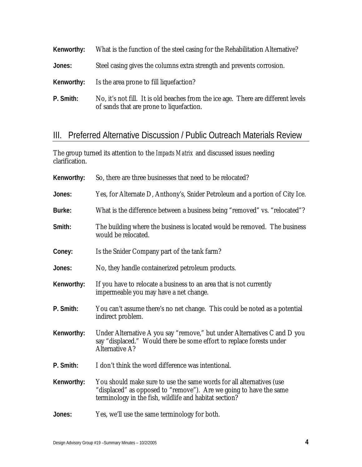| Kenworthy: | What is the function of the steel casing for the Rehabilitation Alternative?                                                  |
|------------|-------------------------------------------------------------------------------------------------------------------------------|
| Jones:     | Steel casing gives the columns extra strength and prevents corrosion.                                                         |
| Kenworthy: | Is the area prone to fill liquefaction?                                                                                       |
| P. Smith:  | No, it's not fill. It is old beaches from the ice age. There are different levels<br>of sands that are prone to liquefaction. |

## III. Preferred Alternative Discussion / Public Outreach Materials Review

The group turned its attention to the *Impacts Matrix* and discussed issues needing clarification.

| Kenworthy: | So, there are three businesses that need to be relocated?                                                                                                                                            |
|------------|------------------------------------------------------------------------------------------------------------------------------------------------------------------------------------------------------|
| Jones:     | Yes, for Alternate D, Anthony's, Snider Petroleum and a portion of City Ice.                                                                                                                         |
| Burke:     | What is the difference between a business being "removed" vs. "relocated"?                                                                                                                           |
| Smith:     | The building where the business is located would be removed. The business<br>would be relocated.                                                                                                     |
| Coney:     | Is the Snider Company part of the tank farm?                                                                                                                                                         |
| Jones:     | No, they handle containerized petroleum products.                                                                                                                                                    |
| Kenworthy: | If you have to relocate a business to an area that is not currently<br>impermeable you may have a net change.                                                                                        |
| P. Smith:  | You can't assume there's no net change. This could be noted as a potential<br>indirect problem.                                                                                                      |
| Kenworthy: | Under Alternative A you say "remove," but under Alternatives C and D you<br>say "displaced." Would there be some effort to replace forests under<br>Alternative A?                                   |
| P. Smith:  | I don't think the word difference was intentional.                                                                                                                                                   |
| Kenworthy: | You should make sure to use the same words for all alternatives (use<br>"displaced" as opposed to "remove"). Are we going to have the same<br>terminology in the fish, wildlife and habitat section? |
| Jones:     | Yes, we'll use the same terminology for both.                                                                                                                                                        |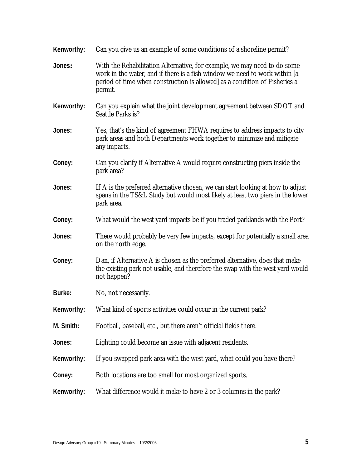| Can you give us an example of some conditions of a shoreline permit?                                                                                                                                                                            |
|-------------------------------------------------------------------------------------------------------------------------------------------------------------------------------------------------------------------------------------------------|
| With the Rehabilitation Alternative, for example, we may need to do some<br>work in the water, and if there is a fish window we need to work within [a<br>period of time when construction is allowed] as a condition of Fisheries a<br>permit. |
| Can you explain what the joint development agreement between SDOT and<br>Seattle Parks is?                                                                                                                                                      |
| Yes, that's the kind of agreement FHWA requires to address impacts to city<br>park areas and both Departments work together to minimize and mitigate<br>any impacts.                                                                            |
| Can you clarify if Alternative A would require constructing piers inside the<br>park area?                                                                                                                                                      |
| If A is the preferred alternative chosen, we can start looking at how to adjust<br>spans in the TS&L Study but would most likely at least two piers in the lower<br>park area.                                                                  |
| What would the west yard impacts be if you traded parklands with the Port?                                                                                                                                                                      |
| There would probably be very few impacts, except for potentially a small area<br>on the north edge.                                                                                                                                             |
| Dan, if Alternative A is chosen as the preferred alternative, does that make<br>the existing park not usable, and therefore the swap with the west yard would<br>not happen?                                                                    |
| No, not necessarily.                                                                                                                                                                                                                            |
| What kind of sports activities could occur in the current park?                                                                                                                                                                                 |
| Football, baseball, etc., but there aren't official fields there.                                                                                                                                                                               |
| Lighting could become an issue with adjacent residents.                                                                                                                                                                                         |
| If you swapped park area with the west yard, what could you have there?                                                                                                                                                                         |
| Both locations are too small for most organized sports.                                                                                                                                                                                         |
| What difference would it make to have 2 or 3 columns in the park?                                                                                                                                                                               |
|                                                                                                                                                                                                                                                 |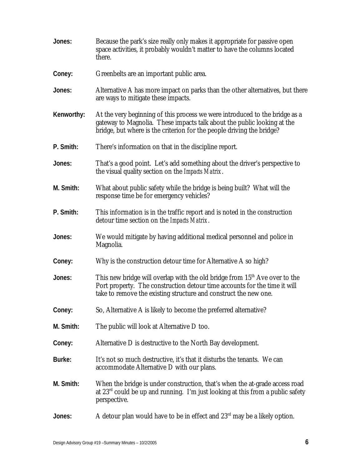| Jones:     | Because the park's size really only makes it appropriate for passive open<br>space activities, it probably wouldn't matter to have the columns located<br>there.                                                                |
|------------|---------------------------------------------------------------------------------------------------------------------------------------------------------------------------------------------------------------------------------|
| Coney:     | Greenbelts are an important public area.                                                                                                                                                                                        |
| Jones:     | Alternative A has more impact on parks than the other alternatives, but there<br>are ways to mitigate these impacts.                                                                                                            |
| Kenworthy: | At the very beginning of this process we were introduced to the bridge as a<br>gateway to Magnolia. These impacts talk about the public looking at the<br>bridge, but where is the criterion for the people driving the bridge? |
| P. Smith:  | There's information on that in the discipline report.                                                                                                                                                                           |
| Jones:     | That's a good point. Let's add something about the driver's perspective to<br>the visual quality section on the <i>Impacts Matrix</i> .                                                                                         |
| M. Smith:  | What about public safety while the bridge is being built? What will the<br>response time be for emergency vehicles?                                                                                                             |
| P. Smith:  | This information is in the traffic report and is noted in the construction<br>detour time section on the <i>Impacts Matrix</i> .                                                                                                |
| Jones:     | We would mitigate by having additional medical personnel and police in<br>Magnolia.                                                                                                                                             |
| Coney:     | Why is the construction detour time for Alternative A so high?                                                                                                                                                                  |
| Jones:     | This new bridge will overlap with the old bridge from $15th$ Ave over to the<br>Port property. The construction detour time accounts for the time it will<br>take to remove the existing structure and construct the new one.   |
| Coney:     | So, Alternative A is likely to become the preferred alternative?                                                                                                                                                                |
| M. Smith:  | The public will look at Alternative D too.                                                                                                                                                                                      |
| Coney:     | Alternative D is destructive to the North Bay development.                                                                                                                                                                      |
| Burke:     | It's not so much destructive, it's that it disturbs the tenants. We can<br>accommodate Alternative D with our plans.                                                                                                            |
| M. Smith:  | When the bridge is under construction, that's when the at-grade access road<br>at $23rd$ could be up and running. I'm just looking at this from a public safety<br>perspective.                                                 |
| Jones:     | A detour plan would have to be in effect and $23rd$ may be a likely option.                                                                                                                                                     |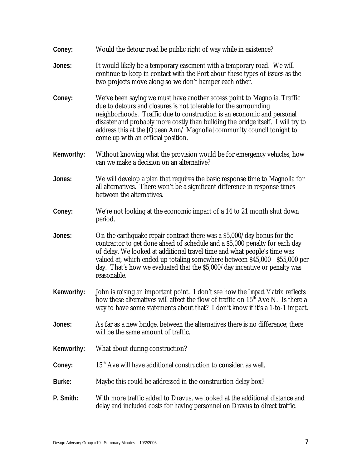| Coney:     | Would the detour road be public right of way while in existence?                                                                                                                                                                                                                                                                                                                                                           |
|------------|----------------------------------------------------------------------------------------------------------------------------------------------------------------------------------------------------------------------------------------------------------------------------------------------------------------------------------------------------------------------------------------------------------------------------|
| Jones:     | It would likely be a temporary easement with a temporary road. We will<br>continue to keep in contact with the Port about these types of issues as the<br>two projects move along so we don't hamper each other.                                                                                                                                                                                                           |
| Coney:     | We've been saying we must have another access point to Magnolia. Traffic<br>due to detours and closures is not tolerable for the surrounding<br>neighborhoods. Traffic due to construction is an economic and personal<br>disaster and probably more costly than building the bridge itself. I will try to<br>address this at the [Queen Ann/ Magnolia] community council tonight to<br>come up with an official position. |
| Kenworthy: | Without knowing what the provision would be for emergency vehicles, how<br>can we make a decision on an alternative?                                                                                                                                                                                                                                                                                                       |
| Jones:     | We will develop a plan that requires the basic response time to Magnolia for<br>all alternatives. There won't be a significant difference in response times<br>between the alternatives.                                                                                                                                                                                                                                   |
| Coney:     | We're not looking at the economic impact of a 14 to 21 month shut down<br>period.                                                                                                                                                                                                                                                                                                                                          |
| Jones:     | On the earthquake repair contract there was a \$5,000/day bonus for the<br>contractor to get done ahead of schedule and a \$5,000 penalty for each day<br>of delay. We looked at additional travel time and what people's time was<br>valued at, which ended up totaling somewhere between \$45,000 - \$55,000 per<br>day. That's how we evaluated that the \$5,000/day incentive or penalty was<br>reasonable.            |
| Kenworthy: | John is raising an important point. I don't see how the <i>Impact Matrix</i> reflects<br>how these alternatives will affect the flow of traffic on 15 <sup>th</sup> Ave N. Is there a<br>way to have some statements about that? I don't know if it's a 1-to-1 impact.                                                                                                                                                     |
| Jones:     | As far as a new bridge, between the alternatives there is no difference; there<br>will be the same amount of traffic.                                                                                                                                                                                                                                                                                                      |
| Kenworthy: | What about during construction?                                                                                                                                                                                                                                                                                                                                                                                            |
| Coney:     | $15th$ Ave will have additional construction to consider, as well.                                                                                                                                                                                                                                                                                                                                                         |
| Burke:     | Maybe this could be addressed in the construction delay box?                                                                                                                                                                                                                                                                                                                                                               |
| P. Smith:  | With more traffic added to Dravus, we looked at the additional distance and<br>delay and included costs for having personnel on Dravus to direct traffic.                                                                                                                                                                                                                                                                  |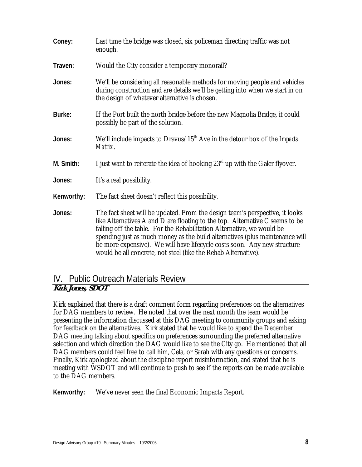| Coney:     | Last time the bridge was closed, six policeman directing traffic was not<br>enough.                                                                                                                                                                                                                                                                                                                                                                                  |
|------------|----------------------------------------------------------------------------------------------------------------------------------------------------------------------------------------------------------------------------------------------------------------------------------------------------------------------------------------------------------------------------------------------------------------------------------------------------------------------|
| Traven:    | Would the City consider a temporary monorail?                                                                                                                                                                                                                                                                                                                                                                                                                        |
| Jones:     | We'll be considering all reasonable methods for moving people and vehicles<br>during construction and are details we'll be getting into when we start in on<br>the design of whatever alternative is chosen.                                                                                                                                                                                                                                                         |
| Burke:     | If the Port built the north bridge before the new Magnolia Bridge, it could<br>possibly be part of the solution.                                                                                                                                                                                                                                                                                                                                                     |
| Jones:     | We'll include impacts to Dravus/15 <sup>th</sup> Ave in the detour box of the <i>Impacts</i><br>Matrix.                                                                                                                                                                                                                                                                                                                                                              |
| M. Smith:  | I just want to reiterate the idea of hooking $23rd$ up with the Galer flyover.                                                                                                                                                                                                                                                                                                                                                                                       |
| Jones:     | It's a real possibility.                                                                                                                                                                                                                                                                                                                                                                                                                                             |
| Kenworthy: | The fact sheet doesn't reflect this possibility.                                                                                                                                                                                                                                                                                                                                                                                                                     |
| Jones:     | The fact sheet will be updated. From the design team's perspective, it looks<br>like Alternatives A and D are floating to the top. Alternative C seems to be<br>falling off the table. For the Rehabilitation Alternative, we would be<br>spending just as much money as the build alternatives (plus maintenance will<br>be more expensive). We will have lifecycle costs soon. Any new structure<br>would be all concrete, not steel (like the Rehab Alternative). |

## IV. Public Outreach Materials Review

### **Kirk Jones, SDOT**

Kirk explained that there is a draft comment form regarding preferences on the alternatives for DAG members to review. He noted that over the next month the team would be presenting the information discussed at this DAG meeting to community groups and asking for feedback on the alternatives. Kirk stated that he would like to spend the December DAG meeting talking about specifics on preferences surrounding the preferred alternative selection and which direction the DAG would like to see the City go. He mentioned that all DAG members could feel free to call him, Cela, or Sarah with any questions or concerns. Finally, Kirk apologized about the discipline report misinformation, and stated that he is meeting with WSDOT and will continue to push to see if the reports can be made available to the DAG members.

**Kenworthy:** We've never seen the final Economic Impacts Report.